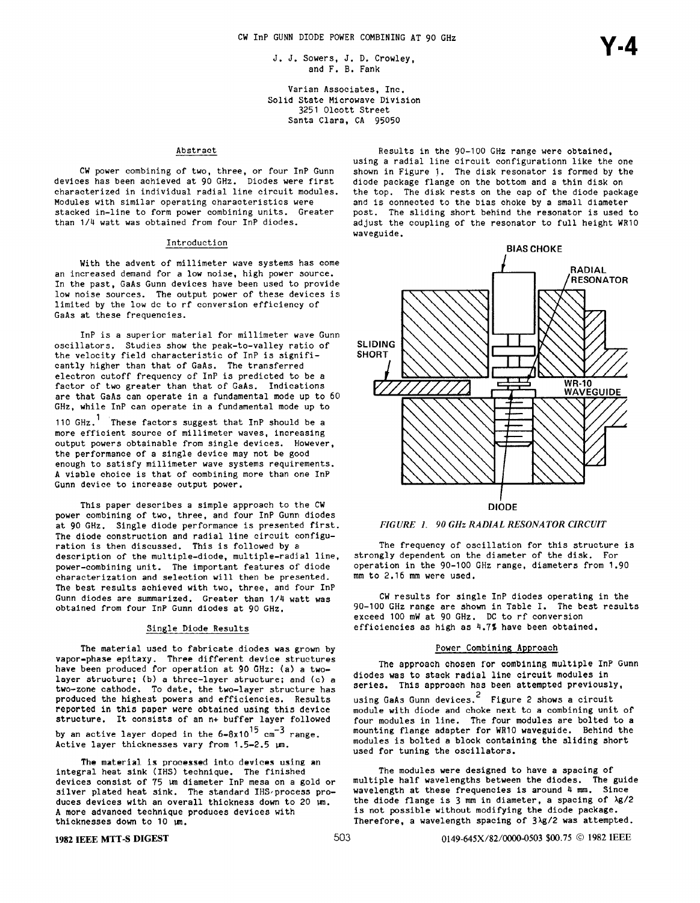J. J. Sowers, J. D. Crowley, and F. B. Fank

Varian Associates, Inc. Solid State Microwave Division 3251 Olcott Street Santa Clara, CA 9505

# Abstract

CW power combining of two, three, or four InP Gunn devices has been achieved at 90 GHz. Diodes were first characterized in individual radial line circuit modules. Modules with similar operating characteristics were stacked in-line to form power combining units. Greater than 1/4 watt was obtained from four InP diodes.

### Introduction

With the advent of millimeter wave systems has come an increased demand for a low noise, high power source. In the past, GaAs Gunn devices have been used to provide low noise sources. The output power of these devices is limited by the low dc to rf conversion efficiency of GaAs at these frequencies.

InP is a superior material for millimeter wave Gunn oscillators. Studies show the peak-to-valley ratio of the velocity field characteristic of InP is significantly higher than that of GaAs. The transferred electron cutoff frequency of InP is predicted to be a factor of two greater than that of GaAs. Indications are that GaAs can operate in a fundamental mode up to 60 GHz, while InP can operate in a fundamental mode up to

110 GHz.<sup>1</sup> These factors suggest that InP should be a more efficient source of millimeter waves, increasing output powers obtainable from single devices. However, the performance of a single device may not be good enough to satisfy millimeter wave systems requirements. A viable choice is that of combining more than one InP Gunn device to increase output power.

This paper describes a simple approach to the CW power combining of two, three, and four InP Gunn diodes at 90 GHz. Single diode performance is presented first. The diode construction and radial line circuit configuration is then discussed. This is followed by a description of the multiple-diode, multiple-radial line, power-combining unit. The important features of' diode characterization and selection will then be presented. The best results achieved with two, three, and four InP Gunn diodes are summarized. Greater than 1/4 watt was obtained from four InP Gunn diodes at 90 GHz.

### Single Diode Results

The material used to fabricate diodes was grown by vapor-phase epitaxy. Three different device structures have been produced for operation at 90 GHz: (a) a twolayer structure; (b) a three-layer structure; and (c) a two-zone cathode. To date, the two-layer structure has produced the highest powers and efficiencies. Results reported in this paper were obtained using this device structure. It consists of an n+ buffer layer followed by an active layer doped in the  $6-8x10^{15}$  cm<sup>-3</sup> range. Active layer thicknesses vary from 1.5-2.5  $\mu$ m.

The material is processed into devices using an integral heat sink (IHS) technique. The finis devices consist of 75 un diameter InP mesa on a gold or silver plated heat sink. The standard IHS/process produces devices with an overall thickness down to 20 un. A more advanced technique produces devices with thicknesses down to  $10 ~\mu m$ .

Results in the 90-100 GHz range were obtained, using a radial line circuit configurationn like the one shown in Figure j. The disk resonator is formed by the diode package flange on the bottom and a thin disk on the top, The disk rests on the cap of the diode package and is connected to the bias choke by a small diameter post. The sliding short behind the resonator is used to adjust the coupling of the resonator to full height WR1O waveguide.





The frequency of oscillation for this structure is strongly dependent on the diameter of the disk. For operation in the 90-100 GHz range, diameters from 1.90 mm to 2.16 mm were used.

CW results for single InP diodes operating in the 90-100 GHz range are shown in Table I. The best results exceed 100 mW at 90 GHz. DC to rf conversion efficiencies as high as 4.7% have been obtained.

#### Power Combining Approach

The approach chosen for combining multiple InP Gunn diodes was to stack radial line circuit modules in series. This approach has been attempted previously,

using GaAs Gunn devices. $^2\,$  Figure 2 shows a circ module with diode and choke next to a combining unit of four modules in line. The four modules are bolted to a mounting flange adapter for WR1O waveguide. Behind the modules is bolted a block containing the sliding short used for tuning the oscillators.

The modules were designed to have a spacing of multiple half wavelengths between the diodes. The guide wavelength at these frequencies is around 4 mm. Since the diode flange is 3 mm in diameter, a spacing of  $\lambda$ g/2 is not possible without modifying the diode package. Therefore, a wavelength spacing of 31g/2 was attempted.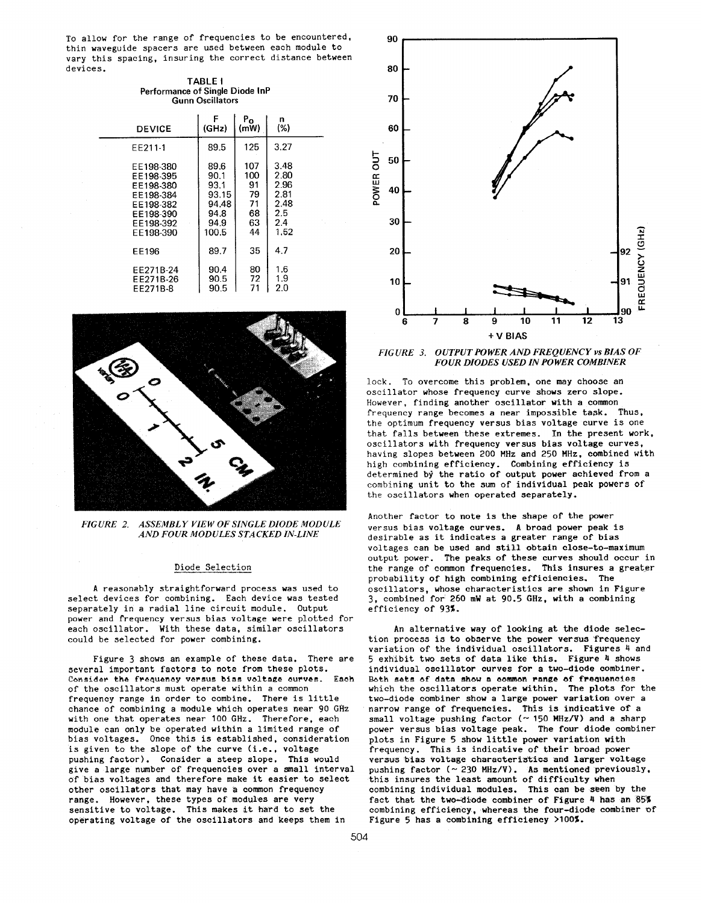To allow for the range of frequencies to be encountered, thin waveguide spacers are used between each module to vary this spacing, insuring the correct distance between devices.

| <b>TABLE I</b>                  |  |
|---------------------------------|--|
| Performance of Single Diode InP |  |
| <b>Gunn Oscillators</b>         |  |

| <b>DEVICE</b> | F     | Po   | n    |
|---------------|-------|------|------|
|               | (GHz) | (mW) | (%)  |
| EE211-1       | 89.5  | 125  | 3.27 |
| EE198-380     | 89.6  | 107  | 3.48 |
| EE198-395     | 90.1  | 100  | 2.80 |
| EE198-380     | 93.1  | 91   | 2.96 |
| EE198-384     | 93.15 | 79   | 2.81 |
| EE198-382     | 94.48 | 71   | 2.48 |
| EE198-390     | 94.8  | 68   | 2.5  |
| EE198-392     | 94.9  | 63   | 2.4  |
| EE198-390     | 100.5 | 44   | 1.52 |
| <b>EE196</b>  | 89.7  | 35   | 47   |
| EE271B-24     | 90.4  | 80   | 1.6  |
| EE271B-26     | 90.5  | 72   | 1.9  |
| EE271B-8      | 90.5  | 71   | 2.0  |



FIGURE 2. ASSEMBLY VIEW OF SINGLE DIODE MODULE AND FOUR MODULES STACKED IN-LINE

#### Diode Selection

A reasonably straightforward process was used to select devices for combining. Each device was tested separately in a radial line circuit module. output power and frequency versus bias voltage were plotted for each oscillator. With these data, similar oscillators could be selected for power combining.

Figure 3 shows an example of these data. There are several important factors to note from these plots. Consider the frequency versus bias voltage curves. Each of the oscillators must operate within a common frequency range in order to combine. There is little chance of combining a module which operates near 90 GHz with one that operates near 100 GHz. Therefore, each module can only be operated within a limited range o bias voltages. Once this is established, considera is given to the slope of the curve (i.e., voltage pushing factor). Consider a steep slope. This would give a large number of frequencies over a small interval of bias voltages and therefore make it easier to select other oscillators that may have a common frequency range. However, these types of modules are very sensitive to voltage. This makes it hard to set the operating voltage of the oscillators and keeps them in



FIGURE 3. OUTPUT POWER AND FREQUENCY vs BIAS OF FOUR DIODES USED IN POWER COMBINER

lock. To overcome this problem, one may choose an oscillator whose frequency curve shows zero slope. However, finding another oscillator with a common frequency range becomes a near impossible task. Thus, the optimum frequency versus bias voltage curve is one that falls between these extremes. In the present work, oscillators with frequency versus bias voltage curves, having slopes between 200 MHz and 250 MHz, combined with high combining efficiency. Combining efficiency i determined by the ratio of output power achieved from a combining unit to the sum of individual peak powers of the oscillators when operated separately.

Another factor to note is the shape of the power versus bias voltage curves. A broad power peak is desirable as it indicates a greater range of bias voltages can be used and still obtain close-to-maximum output power. The peaks of these curves should occur in the range of common frequencies. This insures a greater probability of high combining efficiencies. The oscillators, whose characteristics are shown in Figure 3, combined for 260 mW at 90.5 GHz, with a combining efficiency of 93%.

An alternative way of looking at the diode selection process is to observe the power versus frequency variation of the individual oscillators. Figures 4 and 5 exhibit two seta of data like this. Figure 4 shows individual oscillator curves for a two-diode combiner. Both sets of data show a common range of frequencies which the oscillators operate within. The plots for the two-diode combiner show a large power variation over a narrow range of frequencies. This is indicative of a small voltage pushing factor ( $\sim$  150 MHz/V) and a sharp power versus bias voltage peak. The four diode combiner plots in Figure 5 show little power variation with frequency. This is indicative of their broad power versus bias voltage characteristics and larger voltage pushing factor ( $\sim$  230 MHz/V). As mentioned previously, this insures the least amount of difficulty when combining individual modules. This can be seen by the fact that the two-diode combiner of Figure 4 has an 85% combining efficiency, whereas the four-diode combiner of Figure 5 has a combining efficiency >100%.